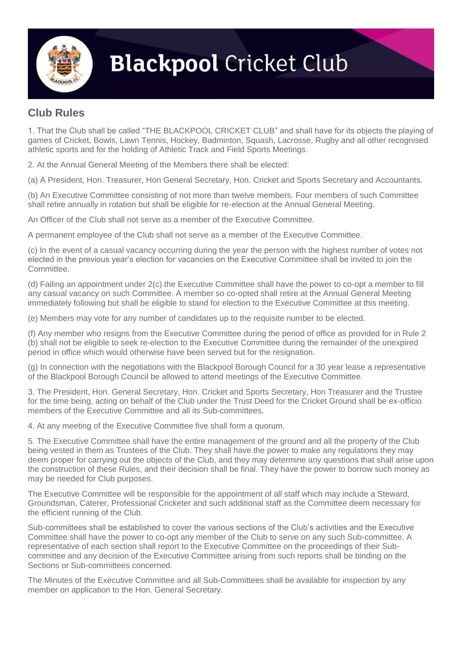

## **Blackpool Cricket Club**

## **Club Rules**

1. That the Club shall be called "THE BLACKPOOL CRICKET CLUB" and shall have for its objects the playing of games of Cricket, Bowls, Lawn Tennis, Hockey, Badminton, Squash, Lacrosse, Rugby and all other recognised athletic sports and for the holding of Athletic Track and Field Sports Meetings.

2. At the Annual General Meeting of the Members there shall be elected:

(a) A President, Hon. Treasurer, Hon General Secretary, Hon. Cricket and Sports Secretary and Accountants.

(b) An Executive Committee consisting of not more than twelve members. Four members of such Committee shall retire annually in rotation but shall be eligible for re-election at the Annual General Meeting.

An Officer of the Club shall not serve as a member of the Executive Committee.

A permanent employee of the Club shall not serve as a member of the Executive Committee.

(c) In the event of a casual vacancy occurring during the year the person with the highest number of votes not elected in the previous year's election for vacancies on the Executive Committee shall be invited to join the Committee.

(d) Failing an appointment under 2(c) the Executive Committee shall have the power to co-opt a member to fill any casual vacancy on such Committee. A member so co-opted shall retire at the Annual General Meeting immediately following but shall be eligible to stand for election to the Executive Committee at this meeting.

(e) Members may vote for any number of candidates up to the requisite number to be elected.

(f) Any member who resigns from the Executive Committee during the period of office as provided for in Rule 2 (b) shall not be eligible to seek re-election to the Executive Committee during the remainder of the unexpired period in office which would otherwise have been served but for the resignation.

(g) In connection with the negotiations with the Blackpool Borough Council for a 30 year lease a representative of the Blackpool Borough Council be allowed to attend meetings of the Executive Committee.

3. The President, Hon. General Secretary, Hon. Cricket and Sports Secretary, Hon Treasurer and the Trustee for the time being, acting on behalf of the Club under the Trust Deed for the Cricket Ground shall be ex-officio members of the Executive Committee and all its Sub-committees.

4. At any meeting of the Executive Committee five shall form a quorum.

5. The Executive Committee shall have the entire management of the ground and all the property of the Club being vested in them as Trustees of the Club. They shall have the power to make any regulations they may deem proper for carrying out the objects of the Club, and they may determine any questions that shall arise upon the construction of these Rules, and their decision shall be final. They have the power to borrow such money as may be needed for Club purposes.

The Executive Committee will be responsible for the appointment of all staff which may include a Steward, Groundsman, Caterer, Professional Cricketer and such additional staff as the Committee deem necessary for the efficient running of the Club.

Sub-committees shall be established to cover the various sections of the Club's activities and the Executive Committee shall have the power to co-opt any member of the Club to serve on any such Sub-committee. A representative of each section shall report to the Executive Committee on the proceedings of their Subcommittee and any decision of the Executive Committee arising from such reports shall be binding on the Sections or Sub-committees concerned.

The Minutes of the Executive Committee and all Sub-Committees shall be available for inspection by any member on application to the Hon. General Secretary.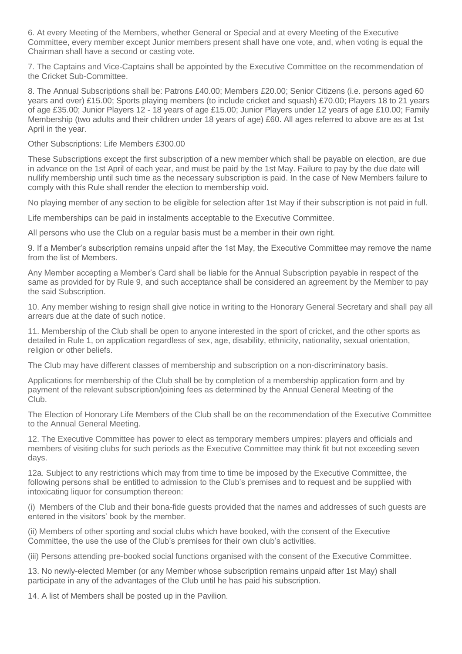6. At every Meeting of the Members, whether General or Special and at every Meeting of the Executive Committee, every member except Junior members present shall have one vote, and, when voting is equal the Chairman shall have a second or casting vote.

7. The Captains and Vice-Captains shall be appointed by the Executive Committee on the recommendation of the Cricket Sub-Committee.

8. The Annual Subscriptions shall be: Patrons £40.00; Members £20.00; Senior Citizens (i.e. persons aged 60 years and over) £15.00; Sports playing members (to include cricket and squash) £70.00; Players 18 to 21 years of age £35.00; Junior Players 12 - 18 years of age £15.00; Junior Players under 12 years of age £10.00; Family Membership (two adults and their children under 18 years of age) £60. All ages referred to above are as at 1st April in the year.

Other Subscriptions: Life Members £300.00

These Subscriptions except the first subscription of a new member which shall be payable on election, are due in advance on the 1st April of each year, and must be paid by the 1st May. Failure to pay by the due date will nullify membership until such time as the necessary subscription is paid. In the case of New Members failure to comply with this Rule shall render the election to membership void.

No playing member of any section to be eligible for selection after 1st May if their subscription is not paid in full.

Life memberships can be paid in instalments acceptable to the Executive Committee.

All persons who use the Club on a regular basis must be a member in their own right.

9. If a Member's subscription remains unpaid after the 1st May, the Executive Committee may remove the name from the list of Members.

Any Member accepting a Member's Card shall be liable for the Annual Subscription payable in respect of the same as provided for by Rule 9, and such acceptance shall be considered an agreement by the Member to pay the said Subscription.

10. Any member wishing to resign shall give notice in writing to the Honorary General Secretary and shall pay all arrears due at the date of such notice.

11. Membership of the Club shall be open to anyone interested in the sport of cricket, and the other sports as detailed in Rule 1, on application regardless of sex, age, disability, ethnicity, nationality, sexual orientation, religion or other beliefs.

The Club may have different classes of membership and subscription on a non-discriminatory basis.

Applications for membership of the Club shall be by completion of a membership application form and by payment of the relevant subscription/joining fees as determined by the Annual General Meeting of the Club.

The Election of Honorary Life Members of the Club shall be on the recommendation of the Executive Committee to the Annual General Meeting.

12. The Executive Committee has power to elect as temporary members umpires: players and officials and members of visiting clubs for such periods as the Executive Committee may think fit but not exceeding seven days.

12a. Subject to any restrictions which may from time to time be imposed by the Executive Committee, the following persons shall be entitled to admission to the Club's premises and to request and be supplied with intoxicating liquor for consumption thereon:

(i) Members of the Club and their bona-fide guests provided that the names and addresses of such guests are entered in the visitors' book by the member.

(ii) Members of other sporting and social clubs which have booked, with the consent of the Executive Committee, the use the use of the Club's premises for their own club's activities.

(iii) Persons attending pre-booked social functions organised with the consent of the Executive Committee.

13. No newly-elected Member (or any Member whose subscription remains unpaid after 1st May) shall participate in any of the advantages of the Club until he has paid his subscription.

14. A list of Members shall be posted up in the Pavilion.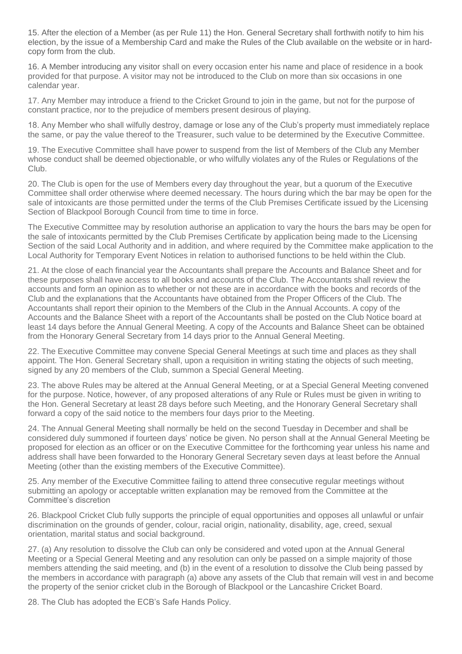15. After the election of a Member (as per Rule 11) the Hon. General Secretary shall forthwith notify to him his election, by the issue of a Membership Card and make the Rules of the Club available on the website or in hardcopy form from the club.

16. A Member introducing any visitor shall on every occasion enter his name and place of residence in a book provided for that purpose. A visitor may not be introduced to the Club on more than six occasions in one calendar year.

17. Any Member may introduce a friend to the Cricket Ground to join in the game, but not for the purpose of constant practice, nor to the prejudice of members present desirous of playing.

18. Any Member who shall wilfully destroy, damage or lose any of the Club's property must immediately replace the same, or pay the value thereof to the Treasurer, such value to be determined by the Executive Committee.

19. The Executive Committee shall have power to suspend from the list of Members of the Club any Member whose conduct shall be deemed objectionable, or who wilfully violates any of the Rules or Regulations of the Club.

20. The Club is open for the use of Members every day throughout the year, but a quorum of the Executive Committee shall order otherwise where deemed necessary. The hours during which the bar may be open for the sale of intoxicants are those permitted under the terms of the Club Premises Certificate issued by the Licensing Section of Blackpool Borough Council from time to time in force.

The Executive Committee may by resolution authorise an application to vary the hours the bars may be open for the sale of intoxicants permitted by the Club Premises Certificate by application being made to the Licensing Section of the said Local Authority and in addition, and where required by the Committee make application to the Local Authority for Temporary Event Notices in relation to authorised functions to be held within the Club.

21. At the close of each financial year the Accountants shall prepare the Accounts and Balance Sheet and for these purposes shall have access to all books and accounts of the Club. The Accountants shall review the accounts and form an opinion as to whether or not these are in accordance with the books and records of the Club and the explanations that the Accountants have obtained from the Proper Officers of the Club. The Accountants shall report their opinion to the Members of the Club in the Annual Accounts. A copy of the Accounts and the Balance Sheet with a report of the Accountants shall be posted on the Club Notice board at least 14 days before the Annual General Meeting. A copy of the Accounts and Balance Sheet can be obtained from the Honorary General Secretary from 14 days prior to the Annual General Meeting.

22. The Executive Committee may convene Special General Meetings at such time and places as they shall appoint. The Hon. General Secretary shall, upon a requisition in writing stating the objects of such meeting, signed by any 20 members of the Club, summon a Special General Meeting.

23. The above Rules may be altered at the Annual General Meeting, or at a Special General Meeting convened for the purpose. Notice, however, of any proposed alterations of any Rule or Rules must be given in writing to the Hon. General Secretary at least 28 days before such Meeting, and the Honorary General Secretary shall forward a copy of the said notice to the members four days prior to the Meeting.

24. The Annual General Meeting shall normally be held on the second Tuesday in December and shall be considered duly summoned if fourteen days' notice be given. No person shall at the Annual General Meeting be proposed for election as an officer or on the Executive Committee for the forthcoming year unless his name and address shall have been forwarded to the Honorary General Secretary seven days at least before the Annual Meeting (other than the existing members of the Executive Committee).

25. Any member of the Executive Committee failing to attend three consecutive regular meetings without submitting an apology or acceptable written explanation may be removed from the Committee at the Committee's discretion

26. Blackpool Cricket Club fully supports the principle of equal opportunities and opposes all unlawful or unfair discrimination on the grounds of gender, colour, racial origin, nationality, disability, age, creed, sexual orientation, marital status and social background.

27. (a) Any resolution to dissolve the Club can only be considered and voted upon at the Annual General Meeting or a Special General Meeting and any resolution can only be passed on a simple majority of those members attending the said meeting, and (b) in the event of a resolution to dissolve the Club being passed by the members in accordance with paragraph (a) above any assets of the Club that remain will vest in and become the property of the senior cricket club in the Borough of Blackpool or the Lancashire Cricket Board.

28. The Club has adopted the ECB's Safe Hands Policy.